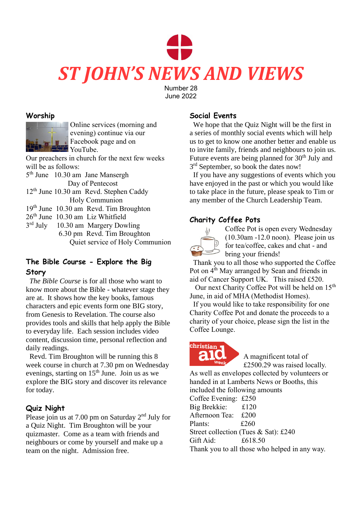# *ST JOHN'S NEWS AND VIEWS*

Number 28 June 2022

## **Worship**



Online services (morning and evening) continue via our Facebook page and on YouTube.

Our preachers in church for the next few weeks will be as follows:

- 5<sup>th</sup> June 10.30 am Jane Mansergh Day of Pentecost
- 12<sup>th</sup> June 10.30 am Revd. Stephen Caddy Holy Communion
- 19th June 10.30 am Revd. Tim Broughton
- 26th June 10.30 am Liz Whitfield
- $3<sup>rd</sup>$  July 10.30 am Margery Dowling 6.30 pm Revd. Tim Broughton Quiet service of Holy Communion

# **The Bible Course - Explore the Big Story**

 *The Bible Course* is for all those who want to know more about the Bible - whatever stage they are at. It shows how the key books, famous characters and epic events form one BIG story, from Genesis to Revelation. The course also provides tools and skills that help apply the Bible to everyday life. Each session includes video content, discussion time, personal reflection and daily readings.

 Revd. Tim Broughton will be running this 8 week course in church at 7.30 pm on Wednesday evenings, starting on 15<sup>th</sup> June. Join us as we explore the BIG story and discover its relevance for today.

# **Quiz Night**

Please join us at 7.00 pm on Saturday 2nd July for a Quiz Night. Tim Broughton will be your quizmaster. Come as a team with friends and neighbours or come by yourself and make up a team on the night. Admission free.

# **Social Events**

 We hope that the Quiz Night will be the first in a series of monthly social events which will help us to get to know one another better and enable us to invite family, friends and neighbours to join us. Future events are being planned for 30<sup>th</sup> July and 3<sup>rd</sup> September, so book the dates now!

 If you have any suggestions of events which you have enjoyed in the past or which you would like to take place in the future, please speak to Tim or any member of the Church Leadership Team.

# **Charity Coffee Pots**



Coffee Pot is open every Wednesday (10.30am -12.0 noon). Please join us for tea/coffee, cakes and chat - and bring your friends!

 Thank you to all those who supported the Coffee Pot on  $4<sup>th</sup>$  May arranged by Sean and friends in aid of Cancer Support UK. This raised £520.

Our next Charity Coffee Pot will be held on 15<sup>th</sup> June, in aid of MHA (Methodist Homes).

 If you would like to take responsibility for one Charity Coffee Pot and donate the proceeds to a charity of your choice, please sign the list in the Coffee Lounge.

# christian

A magnificent total of £2500.29 was raised locally.

As well as envelopes collected by volunteers or handed in at Lamberts News or Booths, this included the following amounts

| $\mu$ . The results in the $\mu$ and $\mu$ and $\mu$ |                                               |
|------------------------------------------------------|-----------------------------------------------|
| Coffee Evening: £250                                 |                                               |
| Big Brekkie: £120                                    |                                               |
| Afternoon Tea: £200                                  |                                               |
| Plants:                                              | £260                                          |
| Street collection (Tues & Sat): £240                 |                                               |
| Gift Aid:                                            | £618.50                                       |
|                                                      | Thank you to all those who helped in any way. |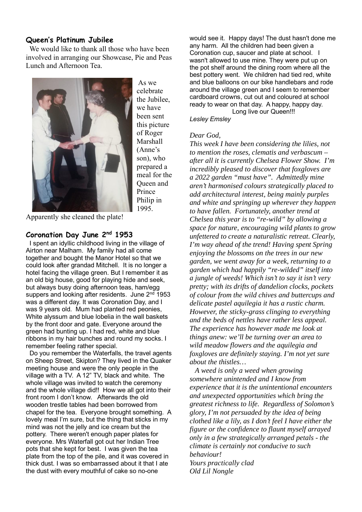#### **Queen's Platinum Jubilee**

 We would like to thank all those who have been involved in arranging our Showcase, Pie and Peas Lunch and Afternoon Tea.



As we celebrate the Jubilee, we have been sent this picture of Roger Marshall (Anne's son), who prepared a meal for the Queen and Prince Philip in 1995.

Apparently she cleaned the plate!

#### **Coronation Day June 2nd 1953**

 I spent an idyllic childhood living in the village of Airton near Malham. My family had all come together and bought the Manor Hotel so that we could look after grandad Mitchell. It is no longer a hotel facing the village green. But I remember it as an old big house, good for playing hide and seek, but always busy doing afternoon teas, ham/egg suppers and looking after residents. June 2<sup>nd</sup> 1953 was a different day. It was Coronation Day, and I was 9 years old. Mum had planted red peonies, White alyssum and blue lobelia in the wall baskets by the front door and gate. Everyone around the green had bunting up. I had red, white and blue ribbons in my hair bunches and round my socks. I remember feeling rather special.

 Do you remember the Waterfalls, the travel agents on Sheep Street, Skipton? They lived in the Quaker meeting house and were the only people in the village with a TV. A 12" TV, black and white. The whole village was invited to watch the ceremony and the whole village did!! How we all got into their front room I don't know. Afterwards the old wooden trestle tables had been borrowed from chapel for the tea. Everyone brought something. A lovely meal I'm sure, but the thing that sticks in my mind was not the jelly and ice cream but the pottery. There weren't enough paper plates for everyone. Mrs Waterfall got out her Indian Tree pots that she kept for best. I was given the tea plate from the top of the pile, and it was covered in thick dust. I was so embarrassed about it that I ate the dust with every mouthful of cake so no-one

would see it. Happy days! The dust hasn't done me any harm. All the children had been given a Coronation cup, saucer and plate at school. I wasn't allowed to use mine. They were put up on the pot shelf around the dining room where all the best pottery went. We children had tied red, white and blue balloons on our bike handlebars and rode around the village green and I seem to remember cardboard crowns, cut out and coloured at school ready to wear on that day. A happy, happy day. Long live our Queen!!!

#### *Lesley Emsley*

#### *Dear God,*

*This week I have been considering the lilies, not to mention the roses, clematis and verbascum – after all it is currently Chelsea Flower Show. I'm incredibly pleased to discover that foxgloves are a 2022 garden "must have". Admittedly mine aren't harmonised colours strategically placed to add architectural interest, being mainly purples and white and springing up wherever they happen to have fallen. Fortunately, another trend at Chelsea this year is to "re-wild" by allowing a space for nature, encouraging wild plants to grow unfettered to create a naturalistic retreat. Clearly, I'm way ahead of the trend! Having spent Spring enjoying the blossoms on the trees in our new garden, we went away for a week, returning to a garden which had happily "re-wilded" itself into a jungle of weeds! Which isn't to say it isn't very pretty; with its drifts of dandelion clocks, pockets of colour from the wild chives and buttercups and delicate pastel aquilegia it has a rustic charm. However, the sticky-grass clinging to everything and the beds of nettles have rather less appeal. The experience has however made me look at things anew: we'll be turning over an area to wild meadow flowers and the aquilegia and foxgloves are definitely staying. I'm not yet sure about the thistles…* 

 *A weed is only a weed when growing somewhere unintended and I know from experience that it is the unintentional encounters and unexpected opportunities which bring the greatest richness to life. Regardless of Solomon's glory, I'm not persuaded by the idea of being clothed like a lily, as I don't feel I have either the figure or the confidence to flaunt myself arrayed only in a few strategically arranged petals - the climate is certainly not conducive to such behaviour!*

*Yours practically clad Old Lil Nongle*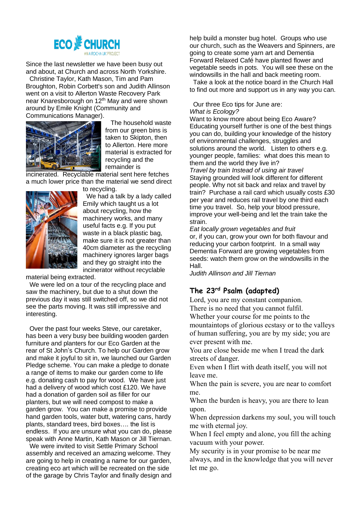

Since the last newsletter we have been busy out and about, at Church and across North Yorkshire.

 Christine Taylor, Kath Mason, Tim and Pam Broughton, Robin Corbett's son and Judith Allinson went on a visit to Allerton Waste Recovery Park near Knaresborough on 12<sup>th</sup> May and were shown around by Emile Knight (Community and Communications Manager).



 The household waste from our green bins is taken to Skipton, then to Allerton. Here more material is extracted for recycling and the remainder is

incinerated. Recyclable material sent here fetches a much lower price than the material we send direct



to recycling. We had a talk by a lady called Emily which taught us a lot about recycling, how the machinery works, and many useful facts e.g. If you put waste in a black plastic bag, make sure it is not greater than 40cm diameter as the recycling machinery ignores larger bags and they go straight into the incinerator without recyclable

material being extracted.

 We were led on a tour of the recycling place and saw the machinery, but due to a shut down the previous day it was still switched off, so we did not see the parts moving. It was still impressive and interesting.

 Over the past four weeks Steve, our caretaker, has been a very busy bee building wooden garden furniture and planters for our Eco Garden at the rear of St John's Church. To help our Garden grow and make it joyful to sit in, we launched our Garden Pledge scheme. You can make a pledge to donate a range of items to make our garden come to life e.g. donating cash to pay for wood. We have just had a delivery of wood which cost £120. We have had a donation of garden soil as filler for our planters, but we will need compost to make a garden grow. You can make a promise to provide hand garden tools, water butt, watering cans, hardy plants, standard trees, bird boxes…. the list is endless. If you are unsure what you can do, please speak with Anne Martin, Kath Mason or Jill Tiernan.

 We were invited to visit Settle Primary School assembly and received an amazing welcome. They are going to help in creating a name for our garden, creating eco art which will be recreated on the side of the garage by Chris Taylor and finally design and help build a monster bug hotel. Groups who use our church, such as the Weavers and Spinners, are going to create some yarn art and Dementia Forward Relaxed Café have planted flower and vegetable seeds in pots. You will see these on the windowsills in the hall and back meeting room.

 Take a look at the notice board in the Church Hall to find out more and support us in any way you can.

Our three Eco tips for June are:

*What is Ecology?*

Want to know more about being Eco Aware? Educating yourself further is one of the best things you can do, building your knowledge of the history of environmental challenges, struggles and solutions around the world. Listen to others e.g. younger people, families: what does this mean to them and the world they live in? *Travel by train Instead of using air travel* Staying grounded will look different for different people. Why not sit back and relax and travel by train? Purchase a rail card which usually costs £30 per year and reduces rail travel by one third each time you travel. So, help your blood pressure, improve your well-being and let the train take the strain.

*Eat locally grown vegetables and fruit* or, if you can, grow your own for both flavour and reducing your carbon footprint. In a small way Dementia Forward are growing vegetables from seeds: watch them grow on the windowsills in the Hall.

*Judith Allinson and Jill Tiernan*

## **The 23rd Psalm (adapted)**

Lord, you are my constant companion. There is no need that you cannot fulfil.

Whether your course for me points to the mountaintops of glorious ecstasy or to the valleys of human suffering, you are by my side; you are ever present with me.

You are close beside me when I tread the dark streets of danger.

Even when I flirt with death itself, you will not leave me.

When the pain is severe, you are near to comfort me.

When the burden is heavy, you are there to lean upon.

When depression darkens my soul, you will touch me with eternal joy.

When I feel empty and alone, you fill the aching vacuum with your power.

My security is in your promise to be near me always, and in the knowledge that you will never let me go.